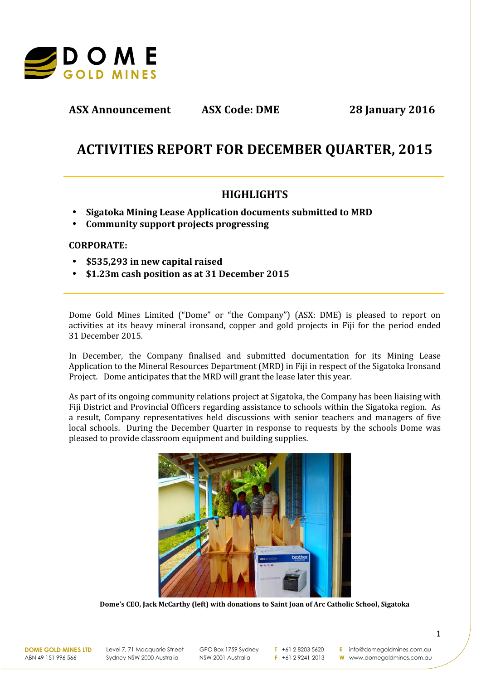

**ASX Announcement ASX Code: DME 28 January 2016**

# **ACTIVITIES REPORT FOR DECEMBER QUARTER, 2015**

# **HIGHLIGHTS**

**\_\_\_\_\_\_\_\_\_\_\_\_\_\_\_\_\_\_\_\_\_\_\_\_\_\_\_\_\_\_\_\_\_\_\_\_\_\_\_\_\_\_\_\_\_\_\_\_\_\_\_\_\_\_\_\_\_\_\_\_\_\_\_\_\_\_\_\_\_\_\_\_\_\_\_\_\_\_\_\_\_\_\_\_\_\_**

- **Sigatoka Mining Lease Application documents submitted to MRD**
- **Community support projects progressing**

## **CORPORATE:**

- **\$535,293 in new capital raised**
- **\$1.23m cash position as at 31 December 2015**

Dome Gold Mines Limited ("Dome" or "the Company") (ASX: DME) is pleased to report on activities at its heavy mineral ironsand, copper and gold projects in Fiji for the period ended 31 December 2015.

**\_\_\_\_\_\_\_\_\_\_\_\_\_\_\_\_\_\_\_\_\_\_\_\_\_\_\_\_\_\_\_\_\_\_\_\_\_\_\_\_\_\_\_\_\_\_\_\_\_\_\_\_\_\_\_\_\_\_\_\_\_\_\_\_\_\_\_\_\_\_\_\_\_\_\_\_\_\_\_\_\_\_\_\_\_\_**

In December, the Company finalised and submitted documentation for its Mining Lease Application to the Mineral Resources Department (MRD) in Fiji in respect of the Sigatoka Ironsand Project. Dome anticipates that the MRD will grant the lease later this year.

As part of its ongoing community relations project at Sigatoka, the Company has been liaising with Fiji District and Provincial Officers regarding assistance to schools within the Sigatoka region. As a result, Company representatives held discussions with senior teachers and managers of five local schools. During the December Quarter in response to requests by the schools Dome was pleased to provide classroom equipment and building supplies.



**Dome's CEO, Jack McCarthy (left) with donations to Saint Joan of Arc Catholic School, Sigatoka**

**DOME GOLD MINES LTD** ABN 49 151 996 566

Level 7, 71 Macquarie Str eet Sydney NSW 2000 Australia

GPO Box 1759 Sydney NSW 2001 Australia

**T** +61 2 8203 5620 **F** +61 2 9241 2013

**E** info@domegoldmines.com.au

**W** www.domegoldmines.com.au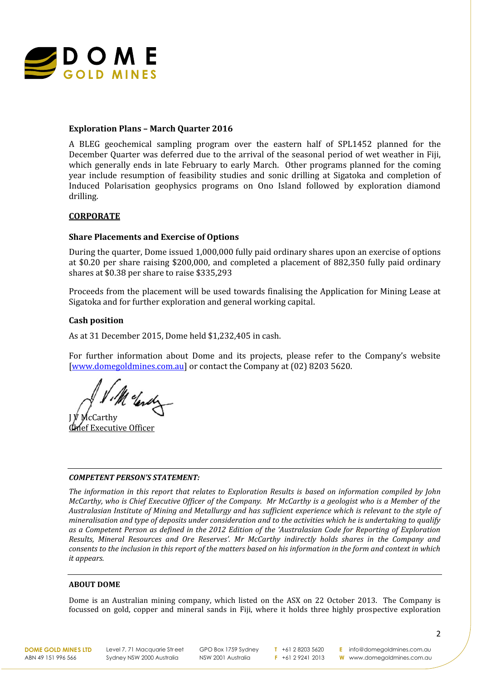

#### **Exploration Plans – March Quarter 2016**

A BLEG geochemical sampling program over the eastern half of SPL1452 planned for the December Quarter was deferred due to the arrival of the seasonal period of wet weather in Fiji, which generally ends in late February to early March. Other programs planned for the coming year include resumption of feasibility studies and sonic drilling at Sigatoka and completion of Induced Polarisation geophysics programs on Ono Island followed by exploration diamond drilling.

#### **CORPORATE**

#### **Share Placements and Exercise of Options**

During the quarter, Dome issued 1,000,000 fully paid ordinary shares upon an exercise of options at \$0.20 per share raising \$200,000, and completed a placement of 882,350 fully paid ordinary shares at \$0.38 per share to raise \$335,293

Proceeds from the placement will be used towards finalising the Application for Mining Lease at Sigatoka and for further exploration and general working capital.

#### **Cash position**

As at 31 December 2015, Dome held \$1,232,405 in cash.

For further information about Dome and its projects, please refer to the Company's website [www.domegoldmines.com.au] or contact the Company at (02) 8203 5620.

Melender

 $\mathfrak{f}_C$ Carthy **Phief Executive Officer** 

#### *COMPETENT PERSON'S STATEMENT:*

*The information in this report that relates to Exploration Results is based on information compiled by John McCarthy, who is Chief Executive Officer of the Company. Mr McCarthy is a geologist who is a Member of the Australasian Institute of Mining and Metallurgy and has sufficient experience which is relevant to the style of mineralisation and type of deposits under consideration and to the activities which he is undertaking to qualify as a Competent Person as defined in the 2012 Edition of the 'Australasian Code for Reporting of Exploration Results, Mineral Resources and Ore Reserves'. Mr McCarthy indirectly holds shares in the Company and consents to the inclusion in this report of the matters based on his information in the form and context in which it appears.*

#### **ABOUT DOME**

Dome is an Australian mining company, which listed on the ASX on 22 October 2013. The Company is focussed on gold, copper and mineral sands in Fiji, where it holds three highly prospective exploration

**DOME GOLD MINES LTD** ABN 49 151 996 566

Level 7, 71 Macquarie Street Sydney NSW 2000 Australia

GPO Box 1759 Sydney NSW 2001 Australia

**T** +61 2 8203 5620 **F** +61 2 9241 2013

**E** info@domegoldmines.com.au **W** www.domegoldmines.com.au